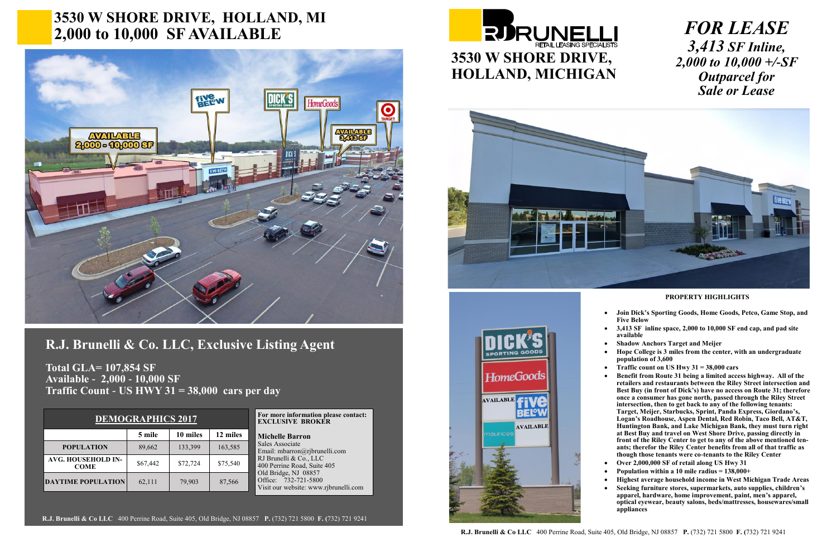## **3530 W SHORE DRIVE, HOLLAND, MI 2,000 to 10,000 SF AVAILABLE**



## **R.J. Brunelli & Co. LLC, Exclusive Listing Agent**

**Total GLA= 107,854 SF Available - 2,000 - 10,000 SF Traffic Count - US HWY 31 = 38,000 cars per day**

> **For more information please contact: EXCLUSIVE BROKER**

**Michelle Barron** Sales Associate Email: mbarron@rjbrunelli.com RJ Brunelli & Co., LLC 400 Perrine Road, Suite 405 Old Bridge, NJ 08857 Office: 732-721-5800 Visit our website: www.rjbrunelli.com

**R.J. Brunelli & Co LLC** 400 Perrine Road, Suite 405, Old Bridge, NJ 08857 **P.** (732) 721 5800 **F. (**732) 721 9241

**PROPERTY HIGHLIGHTS**

- **Join Dick's Sporting Goods, Home Goods, Petco, Game Stop, and Five Below**
- **3,413 SF inline space, 2,000 to 10,000 SF end cap, and pad site available**
- **Shadow Anchors Target and Meijer**
- **Hope College is 3 miles from the center, with an undergraduate population of 3,600**
- **Traffic count on US Hwy 31 = 38,000 cars**

• **Benefit from Route 31 being a limited access highway. All of the retailers and restaurants between the Riley Street intersection and Best Buy (in front of Dick's) have no access on Route 31; therefore once a consumer has gone north, passed through the Riley Street intersection, then to get back to any of the following tenants: Target, Meijer, Starbucks, Sprint, Panda Express, Giordano's, Logan's Roadhouse, Aspen Dental, Red Robin, Taco Bell, AT&T, Huntington Bank, and Lake Michigan Bank, they must turn right at Best Buy and travel on West Shore Drive, passing directly in front of the Riley Center to get to any of the above mentioned tenants; therefor the Riley Center benefits from all of that traffic as though those tenants were co-tenants to the Riley Center** 

- **Over 2,000,000 SF of retail along US Hwy 31**
- **Population within a 10 mile radius = 138,000+**

• **Highest average household income in West Michigan Trade Areas**  • **Seeking furniture stores, supermarkets, auto supplies, children's apparel, hardware, home improvement, paint, men's apparel, optical eyewear, beauty salons, beds/mattresses, housewares/small appliances** 

**R.J. Brunelli & Co LLC** 400 Perrine Road, Suite 405, Old Bridge, NJ 08857 **P.** (732) 721 5800 **F. (**732) 721 9241







## *FOR LEASE 3,413 SF Inline, 2,000 to 10,000 +/-SF Outparcel for Sale or Lease*

| <b>DEMOGRAPHICS 2017</b> |  |
|--------------------------|--|
|                          |  |

|                                          | 5 mile   | 10 miles | 12 miles |
|------------------------------------------|----------|----------|----------|
| <b>POPULATION</b>                        | 89,662   | 133,399  | 163,585  |
| <b>AVG. HOUSEHOLD IN-</b><br><b>COME</b> | \$67,442 | \$72,724 | \$75,540 |
| <b>DAYTIME POPULATION</b>                | 62,111   | 79,903   | 87,566   |